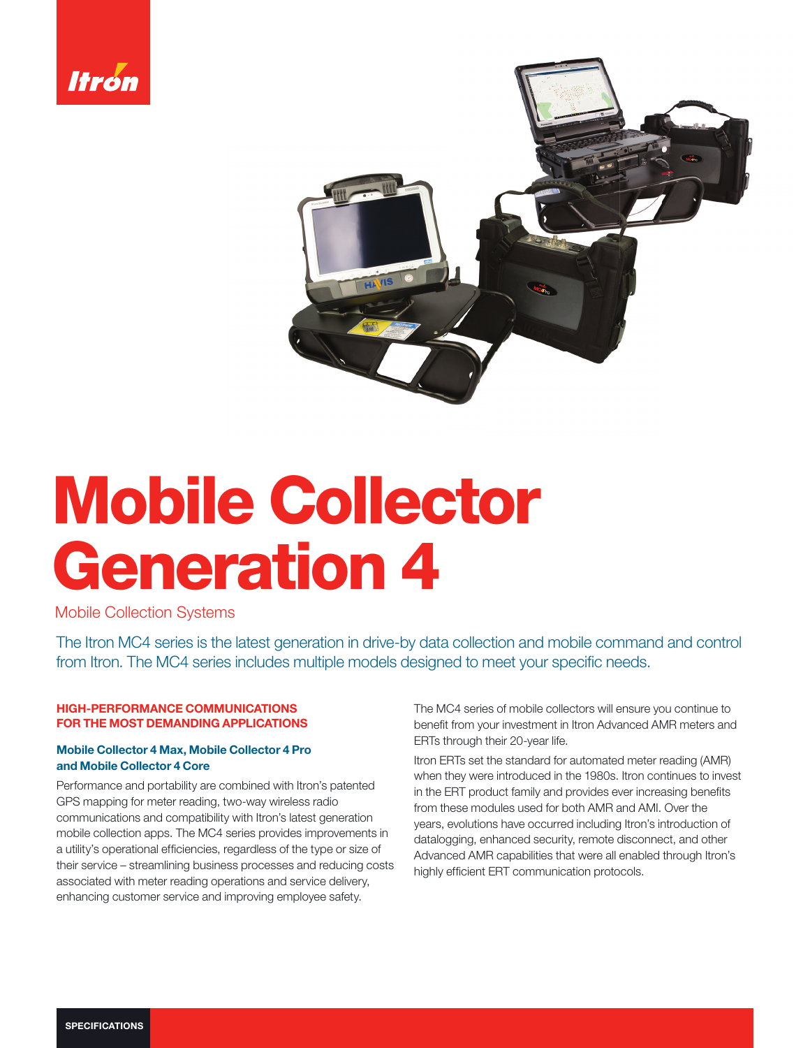



# Mobile Collector Generation 4

Mobile Collection Systems

The Itron MC4 series is the latest generation in drive-by data collection and mobile command and control from Itron. The MC4 series includes multiple models designed to meet your specific needs.

#### HIGH-PERFORMANCE COMMUNICATIONS FOR THE MOST DEMANDING APPLICATIONS

# Mobile Collector 4 Max, Mobile Collector 4 Pro and Mobile Collector 4 Core

Performance and portability are combined with Itron's patented GPS mapping for meter reading, two-way wireless radio communications and compatibility with Itron's latest generation mobile collection apps. The MC4 series provides improvements in a utility's operational efficiencies, regardless of the type or size of their service – streamlining business processes and reducing costs associated with meter reading operations and service delivery, enhancing customer service and improving employee safety.

The MC4 series of mobile collectors will ensure you continue to benefit from your investment in Itron Advanced AMR meters and ERTs through their 20-year life.

Itron ERTs set the standard for automated meter reading (AMR) when they were introduced in the 1980s. Itron continues to invest in the ERT product family and provides ever increasing benefits from these modules used for both AMR and AMI. Over the years, evolutions have occurred including Itron's introduction of datalogging, enhanced security, remote disconnect, and other Advanced AMR capabilities that were all enabled through Itron's highly efficient ERT communication protocols.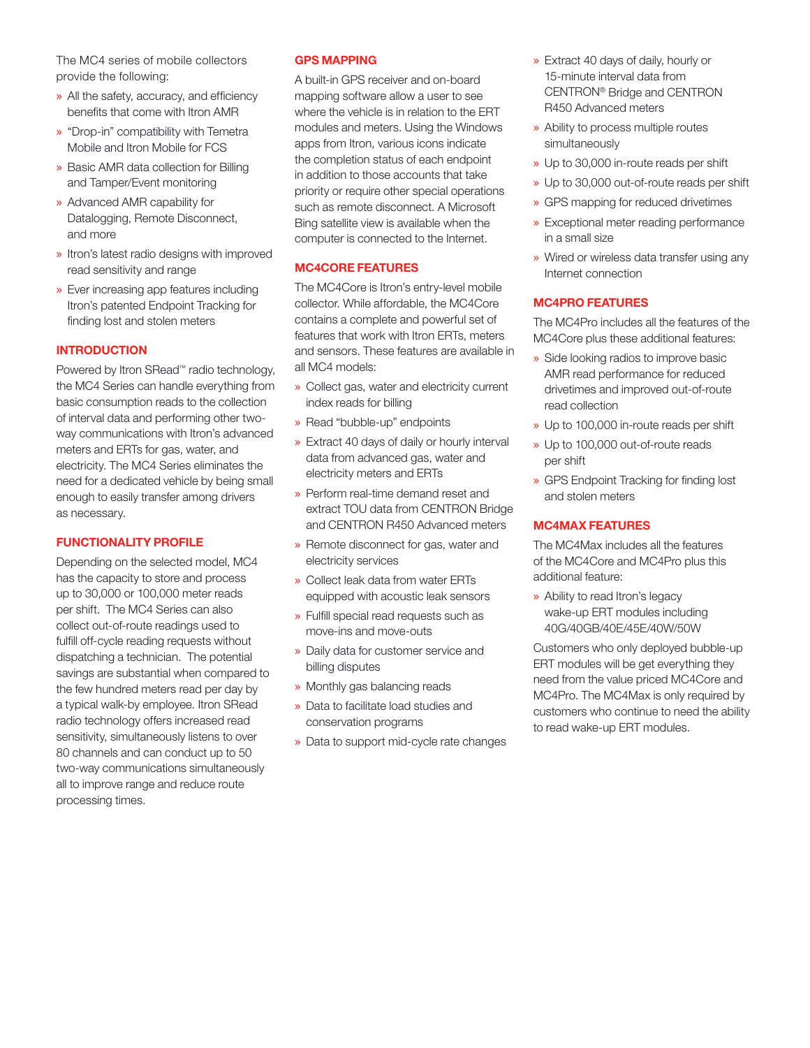The MC4 series of mobile collectors provide the following:

- $\rightarrow$  All the safety, accuracy, and efficiency benefits that come with Itron AMR
- » "Drop-in" compatibility with Temetra Mobile and Itron Mobile for FCS
- » Basic AMR data collection for Billing and Tamper/Event monitoring
- » Advanced AMR capability for Datalogging, Remote Disconnect, and more
- » Itron's latest radio designs with improved read sensitivity and range
- » Ever increasing app features including Itron's patented Endpoint Tracking for finding lost and stolen meters

# INTRODUCTION

Powered by Itron SRead™ radio technology, the MC4 Series can handle everything from basic consumption reads to the collection of interval data and performing other twoway communications with Itron's advanced meters and ERTs for gas, water, and electricity. The MC4 Series eliminates the need for a dedicated vehicle by being small enough to easily transfer among drivers as necessary.

# FUNCTIONALITY PROFILE

Depending on the selected model, MC4 has the capacity to store and process up to 30,000 or 100,000 meter reads per shift. The MC4 Series can also collect out-of-route readings used to fulfill off-cycle reading requests without dispatching a technician. The potential savings are substantial when compared to the few hundred meters read per day by a typical walk-by employee. Itron SRead radio technology offers increased read sensitivity, simultaneously listens to over 80 channels and can conduct up to 50 two-way communications simultaneously all to improve range and reduce route processing times.

# GPS MAPPING

A built-in GPS receiver and on-board mapping software allow a user to see where the vehicle is in relation to the ERT modules and meters. Using the Windows apps from Itron, various icons indicate the completion status of each endpoint in addition to those accounts that take priority or require other special operations such as remote disconnect. A Microsoft Bing satellite view is available when the computer is connected to the Internet.

#### MC4CORE FEATURES

The MC4Core is Itron's entry-level mobile collector. While affordable, the MC4Core contains a complete and powerful set of features that work with Itron ERTs, meters and sensors. These features are available in all MC4 models:

- » Collect gas, water and electricity current index reads for billing
- » Read "bubble-up" endpoints
- » Extract 40 days of daily or hourly interval data from advanced gas, water and electricity meters and ERTs
- » Perform real-time demand reset and extract TOU data from CENTRON Bridge and CENTRON R450 Advanced meters
- » Remote disconnect for gas, water and electricity services
- » Collect leak data from water ERTs equipped with acoustic leak sensors
- » Fulfill special read requests such as move-ins and move-outs
- » Daily data for customer service and billing disputes
- » Monthly gas balancing reads
- » Data to facilitate load studies and conservation programs
- » Data to support mid-cycle rate changes
- » Extract 40 days of daily, hourly or 15-minute interval data from CENTRON® Bridge and CENTRON R450 Advanced meters
- » Ability to process multiple routes simultaneously
- » Up to 30,000 in-route reads per shift
- » Up to 30,000 out-of-route reads per shift
- » GPS mapping for reduced drivetimes
- » Exceptional meter reading performance in a small size
- » Wired or wireless data transfer using any Internet connection

# MC4PRO FEATURES

The MC4Pro includes all the features of the MC4Core plus these additional features:

- » Side looking radios to improve basic AMR read performance for reduced drivetimes and improved out-of-route read collection
- » Up to 100,000 in-route reads per shift
- » Up to 100,000 out-of-route reads per shift
- » GPS Endpoint Tracking for finding lost and stolen meters

#### MC4MAX FEATURES

The MC4Max includes all the features of the MC4Core and MC4Pro plus this additional feature:

» Ability to read Itron's legacy wake-up ERT modules including 40G/40GB/40E/45E/40W/50W

Customers who only deployed bubble-up ERT modules will be get everything they need from the value priced MC4Core and MC4Pro. The MC4Max is only required by customers who continue to need the ability to read wake-up ERT modules.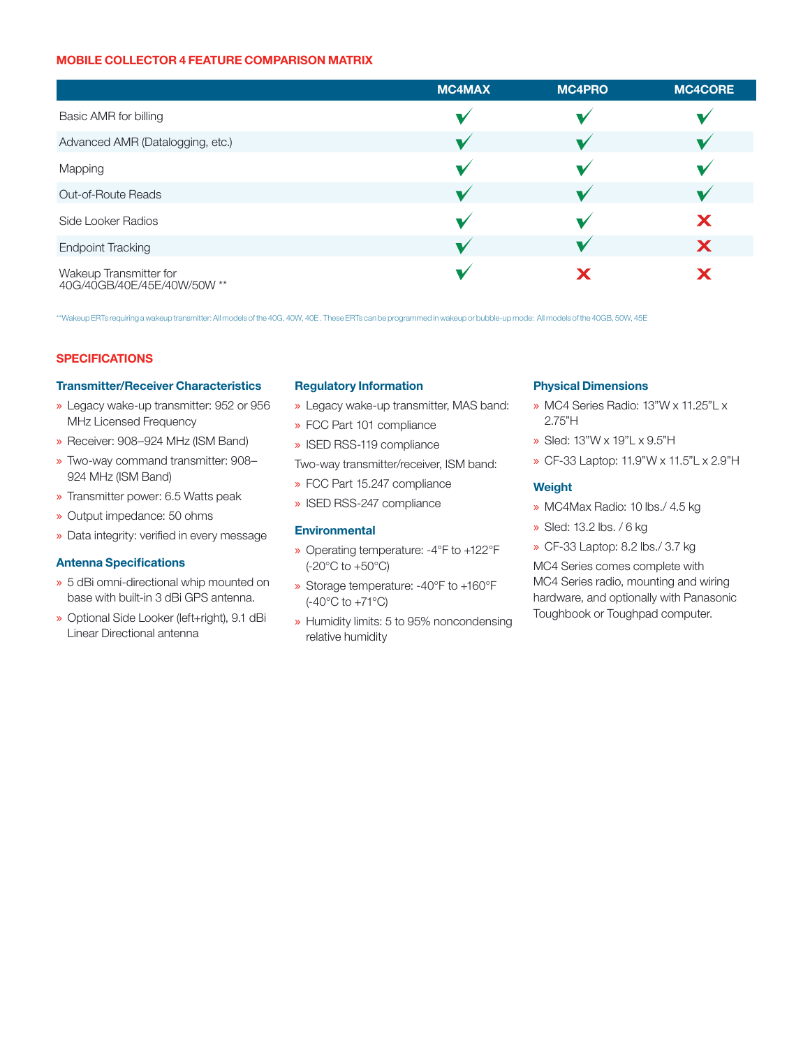#### MOBILE COLLECTOR 4 FEATURE COMPARISON MATRIX

|                                                       | <b>MC4MAX</b> | <b>MC4PRO</b> | <b>MC4CORE</b> |
|-------------------------------------------------------|---------------|---------------|----------------|
| Basic AMR for billing                                 |               |               |                |
| Advanced AMR (Datalogging, etc.)                      |               |               |                |
| Mapping                                               |               |               |                |
| <b>Out-of-Route Reads</b>                             |               |               |                |
| Side Looker Radios                                    |               |               |                |
| <b>Endpoint Tracking</b>                              |               |               | X              |
| Wakeup Transmitter for<br>40G/40GB/40E/45E/40W/50W ** |               | Х             |                |

\*\*Wakeup ERTs requiring a wakeup transmitter: All models of the 40G, 40W, 40E . These ERTs can be programmed in wakeup or bubble-up mode: All models of the 40GB, 50W, 45E

# **SPECIFICATIONS**

#### Transmitter/Receiver Characteristics

- » Legacy wake-up transmitter: 952 or 956 MHz Licensed Frequency
- » Receiver: 908–924 MHz (ISM Band)
- » Two-way command transmitter: 908– 924 MHz (ISM Band)
- » Transmitter power: 6.5 Watts peak
- » Output impedance: 50 ohms
- » Data integrity: verified in every message

#### **Antenna Specifications**

- » 5 dBi omni-directional whip mounted on base with built-in 3 dBi GPS antenna.
- » Optional Side Looker (left+right), 9.1 dBi Linear Directional antenna

#### Regulatory Information

- » Legacy wake-up transmitter, MAS band:
- » FCC Part 101 compliance
- » ISED RSS-119 compliance

Two-way transmitter/receiver, ISM band:

- » FCC Part 15.247 compliance
- » ISED RSS-247 compliance

#### **Environmental**

- » Operating temperature: -4°F to +122°F (-20°C to +50°C)
- » Storage temperature: -40°F to +160°F (-40°C to +71°C)
- » Humidity limits: 5 to 95% noncondensing relative humidity

### Physical Dimensions

- » MC4 Series Radio: 13"W x 11.25"L x 2.75"H
- » Sled: 13"W x 19"L x 9.5"H
- » CF-33 Laptop: 11.9"W x 11.5"L x 2.9"H

#### Weight

- » MC4Max Radio: 10 lbs./ 4.5 kg
- » Sled: 13.2 lbs. / 6 kg
- » CF-33 Laptop: 8.2 lbs./ 3.7 kg

MC4 Series comes complete with MC4 Series radio, mounting and wiring hardware, and optionally with Panasonic Toughbook or Toughpad computer.